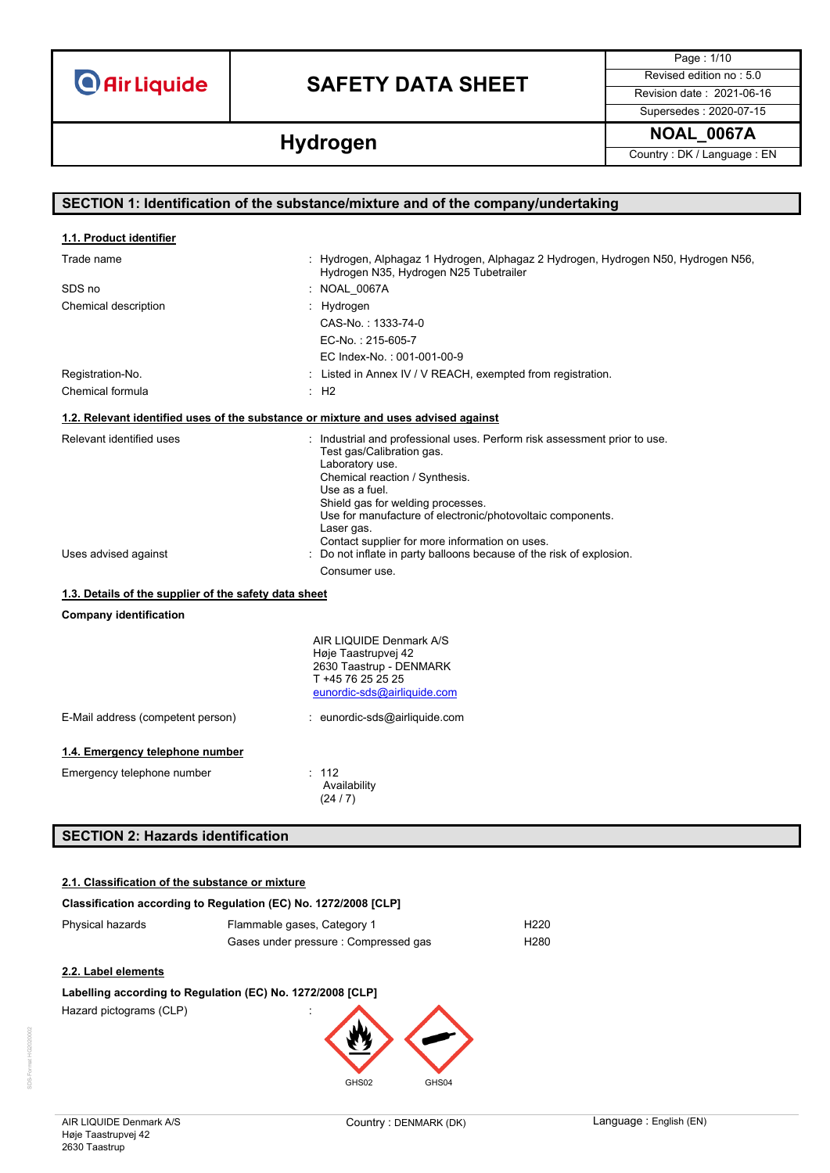# **SAFETY DATA SHEET** Revised edition no : 5.0

Page : 1/10

Supersedes : 2020-07-15 **Hydrogen NOAL\_0067A Hydrogen Country**: DK/Language : EN

| SECTION 1: Identification of the substance/mixture and of the company/undertaking |                                                                                                                                                                                                                                                                                                                                                  |  |
|-----------------------------------------------------------------------------------|--------------------------------------------------------------------------------------------------------------------------------------------------------------------------------------------------------------------------------------------------------------------------------------------------------------------------------------------------|--|
| 1.1. Product identifier                                                           |                                                                                                                                                                                                                                                                                                                                                  |  |
| Trade name                                                                        | : Hydrogen, Alphagaz 1 Hydrogen, Alphagaz 2 Hydrogen, Hydrogen N50, Hydrogen N56,<br>Hydrogen N35, Hydrogen N25 Tubetrailer                                                                                                                                                                                                                      |  |
| SDS no                                                                            | : NOAL_0067A                                                                                                                                                                                                                                                                                                                                     |  |
| Chemical description                                                              | Hydrogen                                                                                                                                                                                                                                                                                                                                         |  |
|                                                                                   | CAS-No.: 1333-74-0                                                                                                                                                                                                                                                                                                                               |  |
|                                                                                   | EC-No.: 215-605-7                                                                                                                                                                                                                                                                                                                                |  |
|                                                                                   | EC Index-No.: 001-001-00-9                                                                                                                                                                                                                                                                                                                       |  |
| Registration-No.                                                                  | Listed in Annex IV / V REACH, exempted from registration.                                                                                                                                                                                                                                                                                        |  |
| Chemical formula                                                                  | $\therefore$ H <sub>2</sub>                                                                                                                                                                                                                                                                                                                      |  |
|                                                                                   | 1.2. Relevant identified uses of the substance or mixture and uses advised against                                                                                                                                                                                                                                                               |  |
| Relevant identified uses                                                          | : Industrial and professional uses. Perform risk assessment prior to use.<br>Test gas/Calibration gas.<br>Laboratory use.<br>Chemical reaction / Synthesis.<br>Use as a fuel.<br>Shield gas for welding processes.<br>Use for manufacture of electronic/photovoltaic components.<br>Laser gas.<br>Contact supplier for more information on uses. |  |
| Uses advised against                                                              | Do not inflate in party balloons because of the risk of explosion.                                                                                                                                                                                                                                                                               |  |
|                                                                                   | Consumer use.                                                                                                                                                                                                                                                                                                                                    |  |
| 1.3. Details of the supplier of the safety data sheet                             |                                                                                                                                                                                                                                                                                                                                                  |  |
| <b>Company identification</b>                                                     |                                                                                                                                                                                                                                                                                                                                                  |  |
|                                                                                   | AIR LIQUIDE Denmark A/S<br>Høje Taastrupvej 42<br>2630 Taastrup - DENMARK<br>T +45 76 25 25 25<br>eunordic-sds@airliquide.com                                                                                                                                                                                                                    |  |
| E-Mail address (competent person)                                                 | : eunordic-sds@airliquide.com                                                                                                                                                                                                                                                                                                                    |  |
| 1.4. Emergency telephone number                                                   |                                                                                                                                                                                                                                                                                                                                                  |  |
| Emergency telephone number                                                        | : 112<br>Availability<br>(24/7)                                                                                                                                                                                                                                                                                                                  |  |

## **SECTION 2: Hazards identification**

## **2.1. Classification of the substance or mixture**

# **Classification according to Regulation (EC) No. 1272/2008 [CLP]** Physical hazards Flammable gases, Category 1 Flammable gases, Category 1 Gases under pressure : Compressed gas H280

## **2.2. Label elements**

### **Labelling according to Regulation (EC) No. 1272/2008 [CLP]**

Hazard pictograms (CLP)

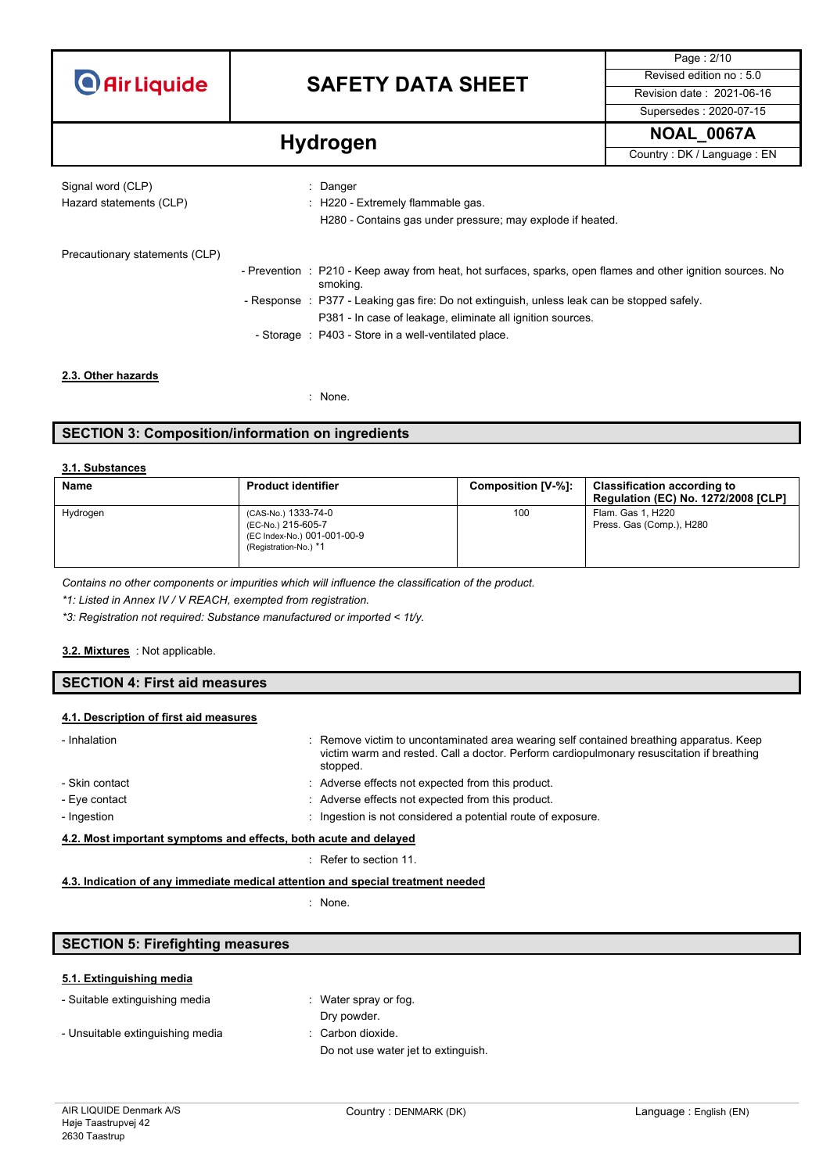# **SAFETY DATA SHEET** Revised edition no : 5.0

Page : 2/10 Supersedes : 2020-07-15

**Hydrogen Hydrogen Hydrogen Country**: DK / Language : EN

| Signal word (CLP)<br>Hazard statements (CLP) | $\therefore$ Danger<br>: H220 - Extremely flammable gas.<br>H280 - Contains gas under pressure; may explode if heated. |
|----------------------------------------------|------------------------------------------------------------------------------------------------------------------------|
| Precautionary statements (CLP)               | - Prevention : P210 - Keep away from heat, hot surfaces, sparks, open flames and other ignition sources. No            |
|                                              | smoking.                                                                                                               |
|                                              | - Response : P377 - Leaking gas fire: Do not extinguish, unless leak can be stopped safely.                            |
|                                              | P381 - In case of leakage, eliminate all ignition sources.                                                             |
|                                              | - Storage : P403 - Store in a well-ventilated place.                                                                   |
|                                              |                                                                                                                        |

## **2.3. Other hazards**

: None.

## **SECTION 3: Composition/information on ingredients**

### **3.1. Substances**

| <b>Name</b> | <b>Product identifier</b>                                                                         | Composition [V-%]: | <b>Classification according to</b><br><b>Regulation (EC) No. 1272/2008 [CLP]</b> |
|-------------|---------------------------------------------------------------------------------------------------|--------------------|----------------------------------------------------------------------------------|
| Hydrogen    | (CAS-No.) 1333-74-0<br>(EC-No.) 215-605-7<br>(EC Index-No.) 001-001-00-9<br>(Registration-No.) *1 | 100                | Flam. Gas 1, H220<br>Press. Gas (Comp.), H280                                    |

*Contains no other components or impurities which will influence the classification of the product.*

*\*1: Listed in Annex IV / V REACH, exempted from registration.*

*\*3: Registration not required: Substance manufactured or imported < 1t/y.*

#### : Not applicable. **3.2. Mixtures**

## **SECTION 4: First aid measures**

### **4.1. Description of first aid measures**

| - Inhalation                                                     | : Remove victim to uncontaminated area wearing self contained breathing apparatus. Keep<br>victim warm and rested. Call a doctor. Perform cardiopulmonary resuscitation if breathing<br>stopped. |  |
|------------------------------------------------------------------|--------------------------------------------------------------------------------------------------------------------------------------------------------------------------------------------------|--|
| - Skin contact                                                   | : Adverse effects not expected from this product.                                                                                                                                                |  |
| - Eye contact                                                    | : Adverse effects not expected from this product.                                                                                                                                                |  |
| - Ingestion                                                      | : Ingestion is not considered a potential route of exposure.                                                                                                                                     |  |
| 4.2. Most important symptoms and effects, both acute and delayed |                                                                                                                                                                                                  |  |
|                                                                  | Refer to section 11.                                                                                                                                                                             |  |

## **4.3. Indication of any immediate medical attention and special treatment needed**

: None.

## **SECTION 5: Firefighting measures**

### **5.1. Extinguishing media**

| - Suitable extinguishing media   | : Water spray or fog.               |
|----------------------------------|-------------------------------------|
|                                  | Dry powder.                         |
| - Unsuitable extinguishing media | $\therefore$ Carbon dioxide.        |
|                                  | Do not use water jet to extinguish. |
|                                  |                                     |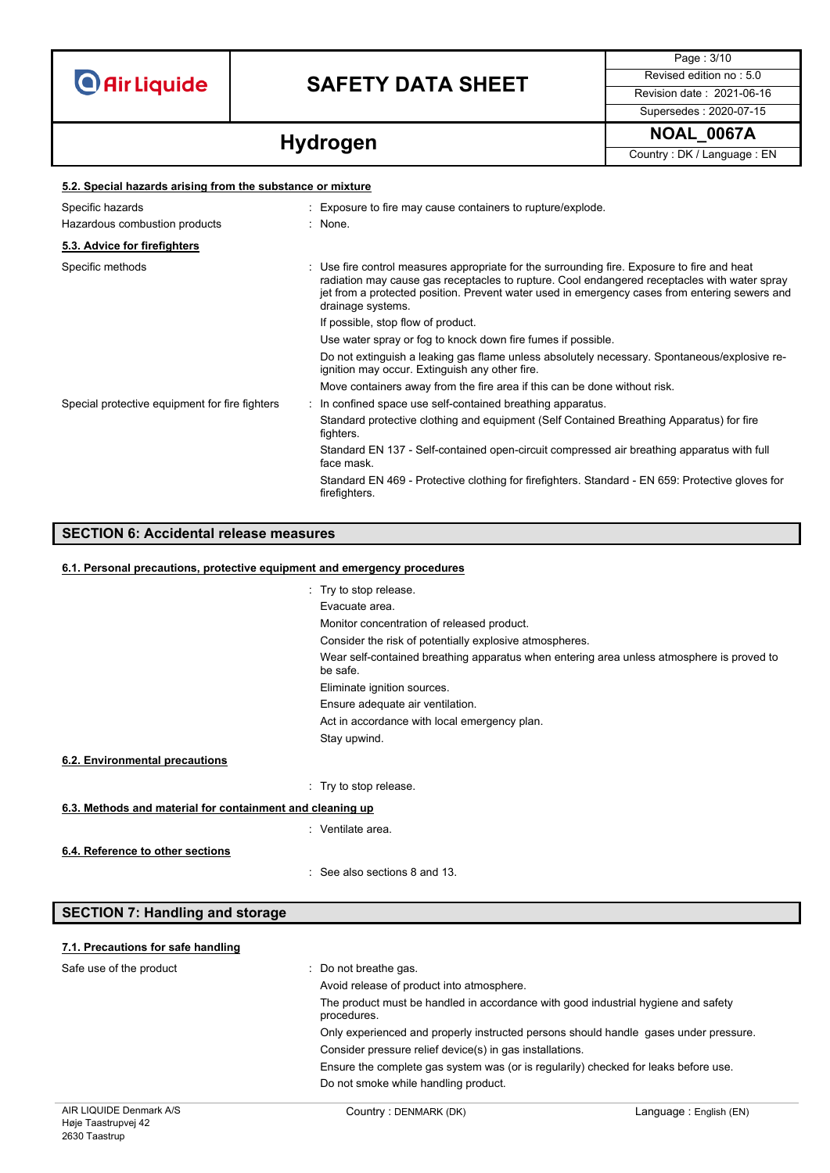**5.2. Special hazards arising from the substance or mixture**

# **SAFETY DATA SHEET** Revised edition no : 5.0

Page : 3/10 Supersedes : 2020-07-15

**Hydrogen NOAL\_0067A Hydrogen** Country: DK / Language : EN

| 5.2. Special nazarus arising from the substance or mixture |  |                                                                                                                                                                                                                                                                                                                   |  |
|------------------------------------------------------------|--|-------------------------------------------------------------------------------------------------------------------------------------------------------------------------------------------------------------------------------------------------------------------------------------------------------------------|--|
| Specific hazards                                           |  | : Exposure to fire may cause containers to rupture/explode.                                                                                                                                                                                                                                                       |  |
| Hazardous combustion products                              |  | : None.                                                                                                                                                                                                                                                                                                           |  |
| 5.3. Advice for firefighters                               |  |                                                                                                                                                                                                                                                                                                                   |  |
| Specific methods                                           |  | : Use fire control measures appropriate for the surrounding fire. Exposure to fire and heat<br>radiation may cause gas receptacles to rupture. Cool endangered receptacles with water spray<br>jet from a protected position. Prevent water used in emergency cases from entering sewers and<br>drainage systems. |  |
|                                                            |  | If possible, stop flow of product.                                                                                                                                                                                                                                                                                |  |
|                                                            |  | Use water spray or fog to knock down fire fumes if possible.                                                                                                                                                                                                                                                      |  |
|                                                            |  | Do not extinguish a leaking gas flame unless absolutely necessary. Spontaneous/explosive re-<br>ignition may occur. Extinguish any other fire.                                                                                                                                                                    |  |
|                                                            |  | Move containers away from the fire area if this can be done without risk.                                                                                                                                                                                                                                         |  |
| Special protective equipment for fire fighters             |  | : In confined space use self-contained breathing apparatus.                                                                                                                                                                                                                                                       |  |
|                                                            |  | Standard protective clothing and equipment (Self Contained Breathing Apparatus) for fire<br>fighters.                                                                                                                                                                                                             |  |
|                                                            |  | Standard EN 137 - Self-contained open-circuit compressed air breathing apparatus with full<br>face mask.                                                                                                                                                                                                          |  |
|                                                            |  | Standard EN 469 - Protective clothing for firefighters. Standard - EN 659: Protective gloves for<br>firefighters.                                                                                                                                                                                                 |  |
|                                                            |  |                                                                                                                                                                                                                                                                                                                   |  |

**SECTION 6: Accidental release measures**

| 6.1. Personal precautions, protective equipment and emergency procedures |                                                                                                       |  |
|--------------------------------------------------------------------------|-------------------------------------------------------------------------------------------------------|--|
|                                                                          | : Try to stop release.                                                                                |  |
|                                                                          | Evacuate area.                                                                                        |  |
|                                                                          | Monitor concentration of released product.                                                            |  |
|                                                                          | Consider the risk of potentially explosive atmospheres.                                               |  |
|                                                                          | Wear self-contained breathing apparatus when entering area unless atmosphere is proved to<br>be safe. |  |
|                                                                          | Eliminate ignition sources.                                                                           |  |
|                                                                          | Ensure adequate air ventilation.                                                                      |  |
|                                                                          | Act in accordance with local emergency plan.                                                          |  |
|                                                                          | Stay upwind.                                                                                          |  |
| 6.2. Environmental precautions                                           |                                                                                                       |  |
|                                                                          | : Try to stop release.                                                                                |  |
| 6.3. Methods and material for containment and cleaning up                |                                                                                                       |  |
|                                                                          | : Ventilate area.                                                                                     |  |
| 6.4. Reference to other sections                                         |                                                                                                       |  |
|                                                                          | : See also sections 8 and 13.                                                                         |  |

### **7.1. Precautions for safe handling**

**SECTION 7: Handling and storage**

| Safe use of the product | Do not breathe gas.<br>Avoid release of product into atmosphere.                                 |
|-------------------------|--------------------------------------------------------------------------------------------------|
|                         | The product must be handled in accordance with good industrial hygiene and safety<br>procedures. |
|                         | Only experienced and properly instructed persons should handle gases under pressure.             |
|                         | Consider pressure relief device(s) in gas installations.                                         |
|                         | Ensure the complete gas system was (or is regularily) checked for leaks before use.              |
|                         | Do not smoke while handling product.                                                             |
|                         |                                                                                                  |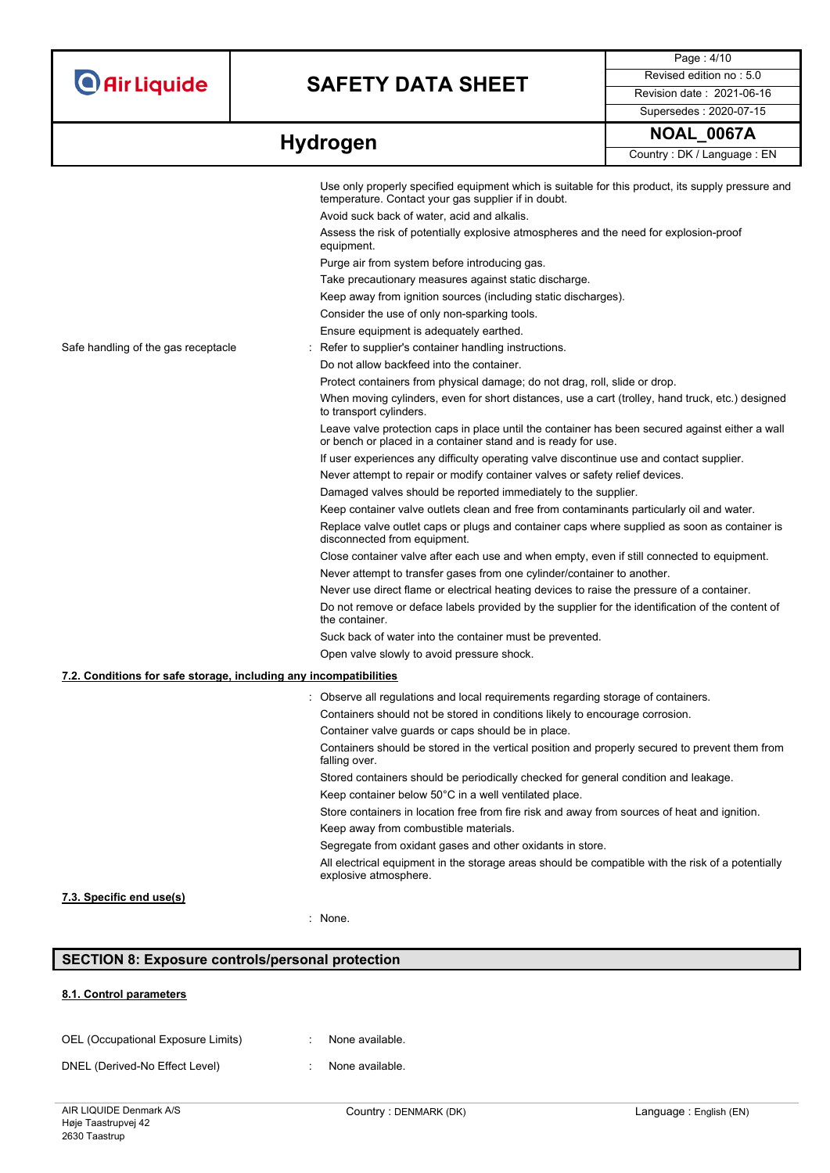# **SAFETY DATA SHEET** Revised edition no : 5.0

Page : 4/10 Supersedes : 2020-07-15

|                                                                   | Use only properly specified equipment which is suitable for this product, its supply pressure and<br>temperature. Contact your gas supplier if in doubt.         |
|-------------------------------------------------------------------|------------------------------------------------------------------------------------------------------------------------------------------------------------------|
|                                                                   | Avoid suck back of water, acid and alkalis.                                                                                                                      |
|                                                                   | Assess the risk of potentially explosive atmospheres and the need for explosion-proof<br>equipment.                                                              |
|                                                                   | Purge air from system before introducing gas.                                                                                                                    |
|                                                                   | Take precautionary measures against static discharge.                                                                                                            |
|                                                                   | Keep away from ignition sources (including static discharges).                                                                                                   |
|                                                                   | Consider the use of only non-sparking tools.                                                                                                                     |
|                                                                   | Ensure equipment is adequately earthed.                                                                                                                          |
| Safe handling of the gas receptacle                               | Refer to supplier's container handling instructions.                                                                                                             |
|                                                                   | Do not allow backfeed into the container.                                                                                                                        |
|                                                                   | Protect containers from physical damage; do not drag, roll, slide or drop.                                                                                       |
|                                                                   | When moving cylinders, even for short distances, use a cart (trolley, hand truck, etc.) designed<br>to transport cylinders.                                      |
|                                                                   | Leave valve protection caps in place until the container has been secured against either a wall<br>or bench or placed in a container stand and is ready for use. |
|                                                                   | If user experiences any difficulty operating valve discontinue use and contact supplier.                                                                         |
|                                                                   | Never attempt to repair or modify container valves or safety relief devices.                                                                                     |
|                                                                   | Damaged valves should be reported immediately to the supplier.                                                                                                   |
|                                                                   | Keep container valve outlets clean and free from contaminants particularly oil and water.                                                                        |
|                                                                   | Replace valve outlet caps or plugs and container caps where supplied as soon as container is<br>disconnected from equipment.                                     |
|                                                                   | Close container valve after each use and when empty, even if still connected to equipment.                                                                       |
|                                                                   | Never attempt to transfer gases from one cylinder/container to another.                                                                                          |
|                                                                   | Never use direct flame or electrical heating devices to raise the pressure of a container.                                                                       |
|                                                                   | Do not remove or deface labels provided by the supplier for the identification of the content of<br>the container.                                               |
|                                                                   | Suck back of water into the container must be prevented.                                                                                                         |
|                                                                   | Open valve slowly to avoid pressure shock.                                                                                                                       |
| 7.2. Conditions for safe storage, including any incompatibilities |                                                                                                                                                                  |
|                                                                   | Observe all regulations and local requirements regarding storage of containers.                                                                                  |
|                                                                   | Containers should not be stored in conditions likely to encourage corrosion.                                                                                     |
|                                                                   | Container valve guards or caps should be in place.                                                                                                               |
|                                                                   | Containers should be stored in the vertical position and properly secured to prevent them from                                                                   |
|                                                                   | falling over.                                                                                                                                                    |
|                                                                   | Stored containers should be periodically checked for general condition and leakage.                                                                              |
|                                                                   | Keep container below 50°C in a well ventilated place.                                                                                                            |
|                                                                   | Store containers in location free from fire risk and away from sources of heat and ignition.                                                                     |
|                                                                   | Keep away from combustible materials.                                                                                                                            |
|                                                                   | Segregate from oxidant gases and other oxidants in store.                                                                                                        |
|                                                                   | All electrical equipment in the storage areas should be compatible with the risk of a potentially<br>explosive atmosphere.                                       |
| 7.3. Specific end use(s)                                          |                                                                                                                                                                  |
|                                                                   | : None.                                                                                                                                                          |
|                                                                   |                                                                                                                                                                  |

## **SECTION 8: Exposure controls/personal protection**

### **8.1. Control parameters**

| OEL (Occupational Exposure Limits)                                                                                            |  | None available. |
|-------------------------------------------------------------------------------------------------------------------------------|--|-----------------|
| $P_{\text{N}}(n)$ $P_{\text{N}}(n)$ $P_{\text{N}}(n)$ $P_{\text{N}}(n)$ $P_{\text{N}}(n)$ $P_{\text{N}}(n)$ $P_{\text{N}}(n)$ |  |                 |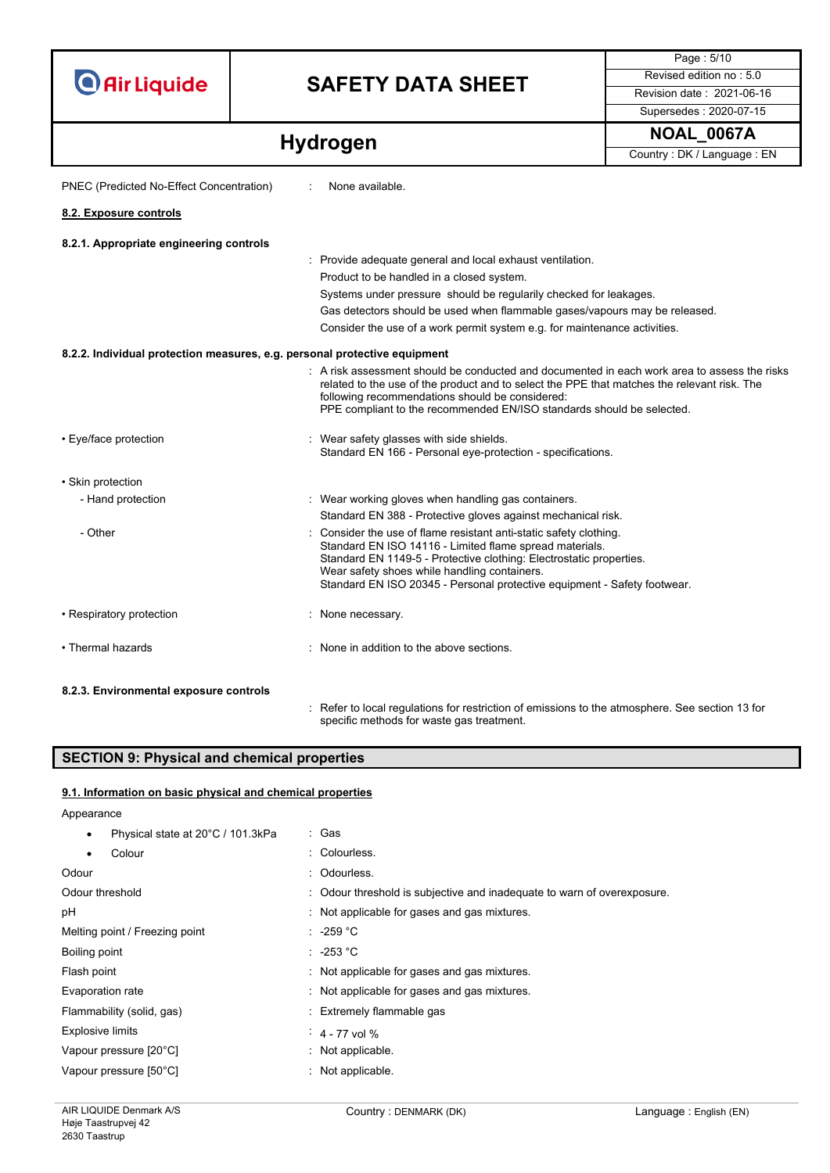# **SAFETY DATA SHEET** Revised edition no : 5.0

Supersedes : 2020-07-15

Page : 5/10

**Hydrogen Hydrogen Hydrogen Country**: DK / Language : EN

| PNEC (Predicted No-Effect Concentration)                                  | None available.                                                                                                                                                                                                                                                                                                                  |
|---------------------------------------------------------------------------|----------------------------------------------------------------------------------------------------------------------------------------------------------------------------------------------------------------------------------------------------------------------------------------------------------------------------------|
| 8.2. Exposure controls                                                    |                                                                                                                                                                                                                                                                                                                                  |
| 8.2.1. Appropriate engineering controls                                   |                                                                                                                                                                                                                                                                                                                                  |
|                                                                           | : Provide adequate general and local exhaust ventilation.                                                                                                                                                                                                                                                                        |
|                                                                           | Product to be handled in a closed system.                                                                                                                                                                                                                                                                                        |
|                                                                           | Systems under pressure should be regularily checked for leakages.                                                                                                                                                                                                                                                                |
|                                                                           | Gas detectors should be used when flammable gases/vapours may be released.                                                                                                                                                                                                                                                       |
|                                                                           | Consider the use of a work permit system e.g. for maintenance activities.                                                                                                                                                                                                                                                        |
| 8.2.2. Individual protection measures, e.g. personal protective equipment |                                                                                                                                                                                                                                                                                                                                  |
|                                                                           | : A risk assessment should be conducted and documented in each work area to assess the risks<br>related to the use of the product and to select the PPE that matches the relevant risk. The<br>following recommendations should be considered:<br>PPE compliant to the recommended EN/ISO standards should be selected.          |
| • Eye/face protection                                                     | : Wear safety glasses with side shields.<br>Standard EN 166 - Personal eye-protection - specifications.                                                                                                                                                                                                                          |
| · Skin protection                                                         |                                                                                                                                                                                                                                                                                                                                  |
| - Hand protection                                                         | : Wear working gloves when handling gas containers.                                                                                                                                                                                                                                                                              |
|                                                                           | Standard EN 388 - Protective gloves against mechanical risk.                                                                                                                                                                                                                                                                     |
| - Other                                                                   | : Consider the use of flame resistant anti-static safety clothing.<br>Standard EN ISO 14116 - Limited flame spread materials.<br>Standard EN 1149-5 - Protective clothing: Electrostatic properties.<br>Wear safety shoes while handling containers.<br>Standard EN ISO 20345 - Personal protective equipment - Safety footwear. |
| • Respiratory protection                                                  | : None necessary.                                                                                                                                                                                                                                                                                                                |
| • Thermal hazards                                                         | None in addition to the above sections.                                                                                                                                                                                                                                                                                          |
| 8.2.3. Environmental exposure controls                                    |                                                                                                                                                                                                                                                                                                                                  |
|                                                                           | : Refer to local regulations for restriction of emissions to the atmosphere. See section 13 for                                                                                                                                                                                                                                  |

specific methods for waste gas treatment.

## **SECTION 9: Physical and chemical properties**

### **9.1. Information on basic physical and chemical properties**

Appearance

| Physical state at 20°C / 101.3kPa<br>$\bullet$ | : Gas                                                                   |
|------------------------------------------------|-------------------------------------------------------------------------|
| Colour<br>$\bullet$                            | : Colourless.                                                           |
| Odour                                          | : Odourless.                                                            |
| Odour threshold                                | : Odour threshold is subjective and inadequate to warn of overexposure. |
| рH                                             | : Not applicable for gases and gas mixtures.                            |
| Melting point / Freezing point                 | : -259 °C                                                               |
| Boiling point                                  | $: -253 °C$                                                             |
| Flash point                                    | : Not applicable for gases and gas mixtures.                            |
| Evaporation rate                               | : Not applicable for gases and gas mixtures.                            |
| Flammability (solid, gas)                      | : Extremely flammable gas                                               |
| <b>Explosive limits</b>                        | $4 - 77$ vol %                                                          |
| Vapour pressure [20°C]                         | : Not applicable.                                                       |
| Vapour pressure [50°C]                         | : Not applicable.                                                       |
|                                                |                                                                         |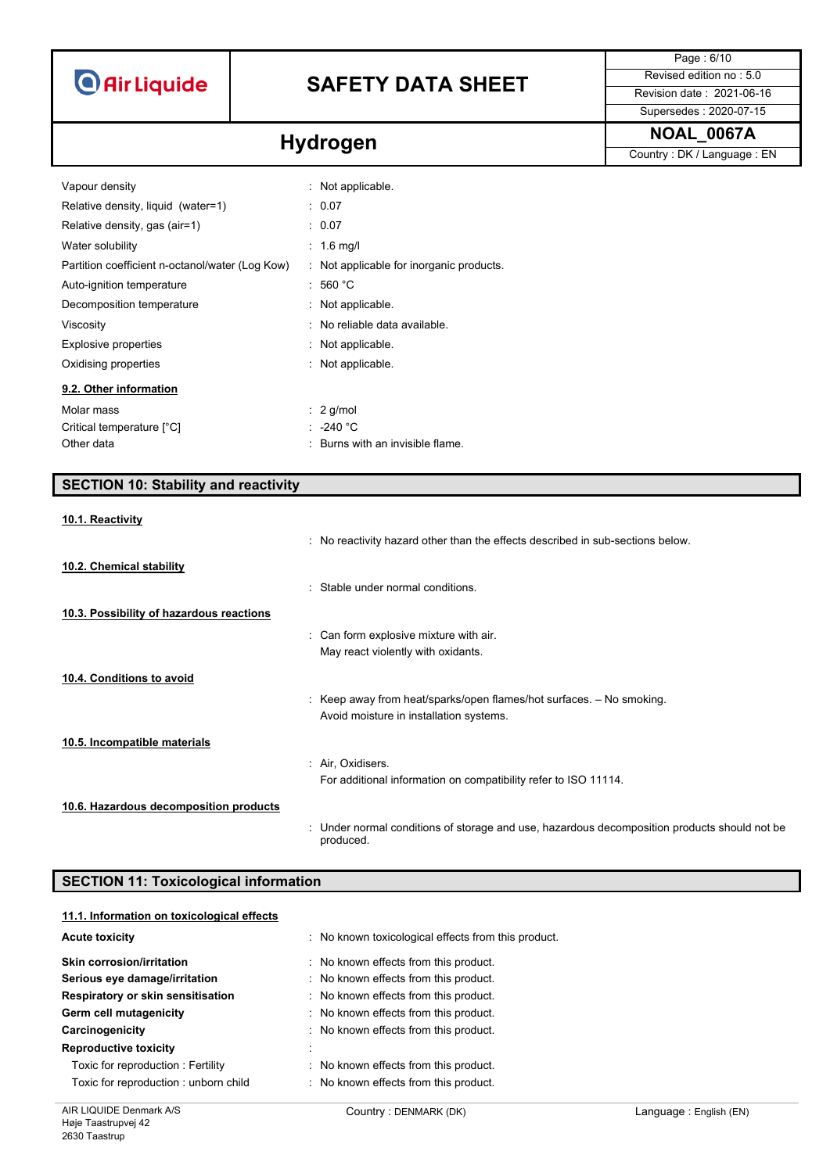# **SAFETY DATA SHEET** Revised edition no : 5.0

Supersedes : 2020-07-15

Page : 6/10

**Hydrogen Hydrogen Hydrogen Country**: DK / Language : EN

| Vapour density                                  | : Not applicable.                        |
|-------------------------------------------------|------------------------------------------|
| Relative density, liquid (water=1)              | : 0.07                                   |
| Relative density, gas (air=1)                   | : 0.07                                   |
| Water solubility                                | $: 1.6$ mg/l                             |
| Partition coefficient n-octanol/water (Log Kow) | : Not applicable for inorganic products. |
| Auto-ignition temperature                       | :560 °C                                  |
| Decomposition temperature                       | : Not applicable.                        |
| Viscosity                                       | : No reliable data available.            |
| <b>Explosive properties</b>                     | : Not applicable.                        |
| Oxidising properties                            | : Not applicable.                        |
| 9.2. Other information                          |                                          |
| Molar mass                                      | $\therefore$ 2 g/mol                     |
| Critical temperature [°C]                       | $: -240 °C$                              |
| Other data                                      | : Burns with an invisible flame.         |

## **SECTION 10: Stability and reactivity**

#### **10.1. Reactivity**

|                                          | : No reactivity hazard other than the effects described in sub-sections below.                            |
|------------------------------------------|-----------------------------------------------------------------------------------------------------------|
| 10.2. Chemical stability                 |                                                                                                           |
|                                          | : Stable under normal conditions.                                                                         |
| 10.3. Possibility of hazardous reactions |                                                                                                           |
|                                          | : Can form explosive mixture with air.                                                                    |
|                                          | May react violently with oxidants.                                                                        |
| 10.4. Conditions to avoid                |                                                                                                           |
|                                          | : Keep away from heat/sparks/open flames/hot surfaces. $-$ No smoking.                                    |
|                                          | Avoid moisture in installation systems.                                                                   |
| 10.5. Incompatible materials             |                                                                                                           |
|                                          | : Air, Oxidisers.                                                                                         |
|                                          | For additional information on compatibility refer to ISO 11114.                                           |
| 10.6. Hazardous decomposition products   |                                                                                                           |
|                                          | : Under normal conditions of storage and use, hazardous decomposition products should not be<br>produced. |

## **SECTION 11: Toxicological information**

| 11.1. Information on toxicological effects |                                                     |
|--------------------------------------------|-----------------------------------------------------|
| <b>Acute toxicity</b>                      | : No known toxicological effects from this product. |
| <b>Skin corrosion/irritation</b>           | : No known effects from this product.               |
| Serious eye damage/irritation              | : No known effects from this product.               |
| Respiratory or skin sensitisation          | : No known effects from this product.               |
| Germ cell mutagenicity                     | : No known effects from this product.               |
| Carcinogenicity                            | : No known effects from this product.               |
| <b>Reproductive toxicity</b>               |                                                     |
| Toxic for reproduction: Fertility          | : No known effects from this product.               |
| Toxic for reproduction: unborn child       | : No known effects from this product.               |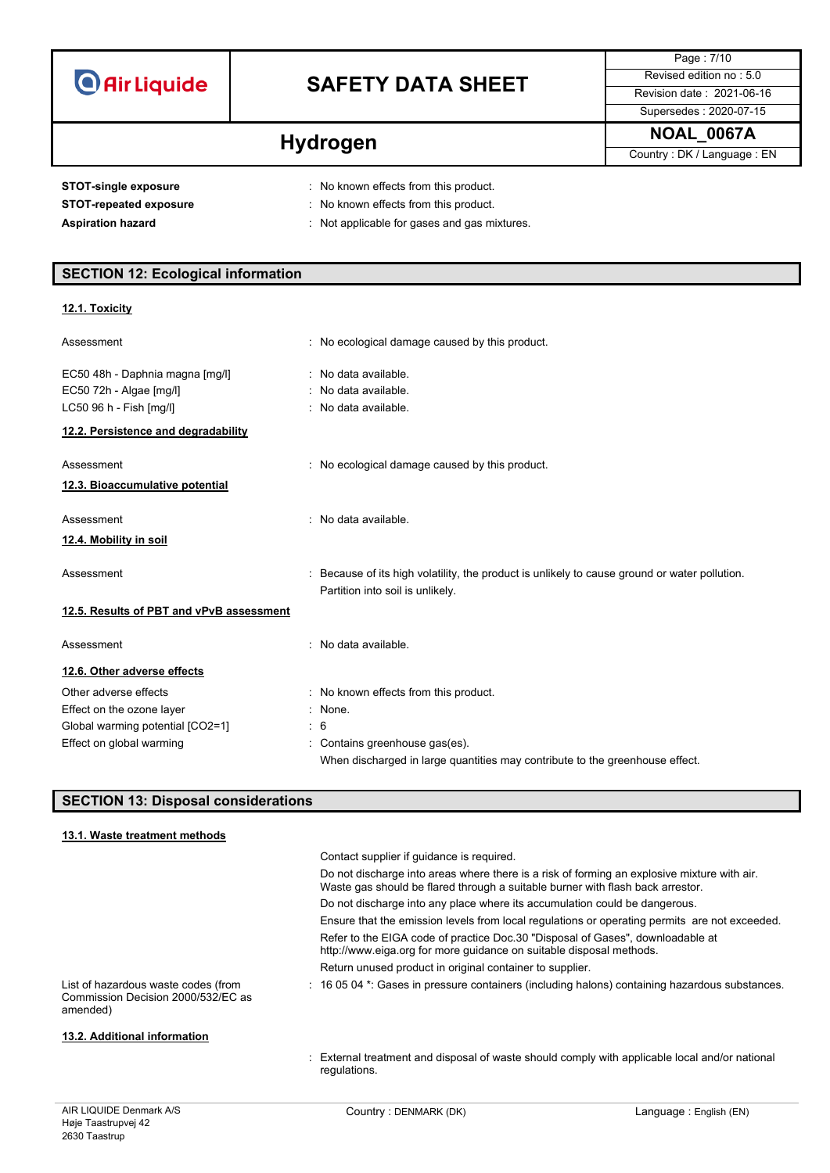| <b>O</b> Air Liquide |  |  |
|----------------------|--|--|
|                      |  |  |

# **SAFETY DATA SHEET** Revised edition no : 5.0

Page : 7/10 Supersedes : 2020-07-15

**Hydrogen Hydrogen Hydrogen Country**: DK / Language : EN

**STOT-single exposure** : No known effects from this product.

- **STOT-repeated exposure** : No known effects from this product.
- 
- Aspiration hazard **Aspiration hazard has all the set of the set of the set of the set of the set of the set of the set of the set of the set of the set of the set of the set of the set of the set of the set of the set**

## **SECTION 12: Ecological information**

### **12.1. Toxicity**

| Assessment                               | : No ecological damage caused by this product.                                                                                    |  |
|------------------------------------------|-----------------------------------------------------------------------------------------------------------------------------------|--|
| EC50 48h - Daphnia magna [mg/l]          | : No data available.                                                                                                              |  |
| EC50 72h - Algae [mg/l]                  | : No data available.                                                                                                              |  |
| LC50 96 h - Fish [mg/l]                  | : No data available.                                                                                                              |  |
| 12.2. Persistence and degradability      |                                                                                                                                   |  |
| Assessment                               | : No ecological damage caused by this product.                                                                                    |  |
| 12.3. Bioaccumulative potential          |                                                                                                                                   |  |
| Assessment                               | No data available.                                                                                                                |  |
| 12.4. Mobility in soil                   |                                                                                                                                   |  |
| Assessment                               | : Because of its high volatility, the product is unlikely to cause ground or water pollution.<br>Partition into soil is unlikely. |  |
| 12.5. Results of PBT and vPvB assessment |                                                                                                                                   |  |
| Assessment                               | No data available.                                                                                                                |  |
| 12.6. Other adverse effects              |                                                                                                                                   |  |
| Other adverse effects                    | : No known effects from this product.                                                                                             |  |
| Effect on the ozone layer                | : None.                                                                                                                           |  |
| Global warming potential [CO2=1]         | $\frac{1}{2}$ 6                                                                                                                   |  |
| Effect on global warming                 | Contains greenhouse gas(es).                                                                                                      |  |
|                                          | When discharged in large quantities may contribute to the greenhouse effect.                                                      |  |

## **SECTION 13: Disposal considerations**

| 13.1. Waste treatment methods                                                         |                                                                                                                                                                               |
|---------------------------------------------------------------------------------------|-------------------------------------------------------------------------------------------------------------------------------------------------------------------------------|
|                                                                                       | Contact supplier if guidance is required.                                                                                                                                     |
|                                                                                       | Do not discharge into areas where there is a risk of forming an explosive mixture with air.<br>Waste gas should be flared through a suitable burner with flash back arrestor. |
|                                                                                       | Do not discharge into any place where its accumulation could be dangerous.                                                                                                    |
|                                                                                       | Ensure that the emission levels from local regulations or operating permits are not exceeded.                                                                                 |
|                                                                                       | Refer to the EIGA code of practice Doc.30 "Disposal of Gases", downloadable at<br>http://www.eiga.org for more guidance on suitable disposal methods.                         |
|                                                                                       | Return unused product in original container to supplier.                                                                                                                      |
| List of hazardous waste codes (from<br>Commission Decision 2000/532/EC as<br>amended) | : 16 05 04 *: Gases in pressure containers (including halons) containing hazardous substances.                                                                                |
| 13.2. Additional information                                                          |                                                                                                                                                                               |
|                                                                                       | : External treatment and disposal of waste should comply with applicable local and/or national<br>requlations.                                                                |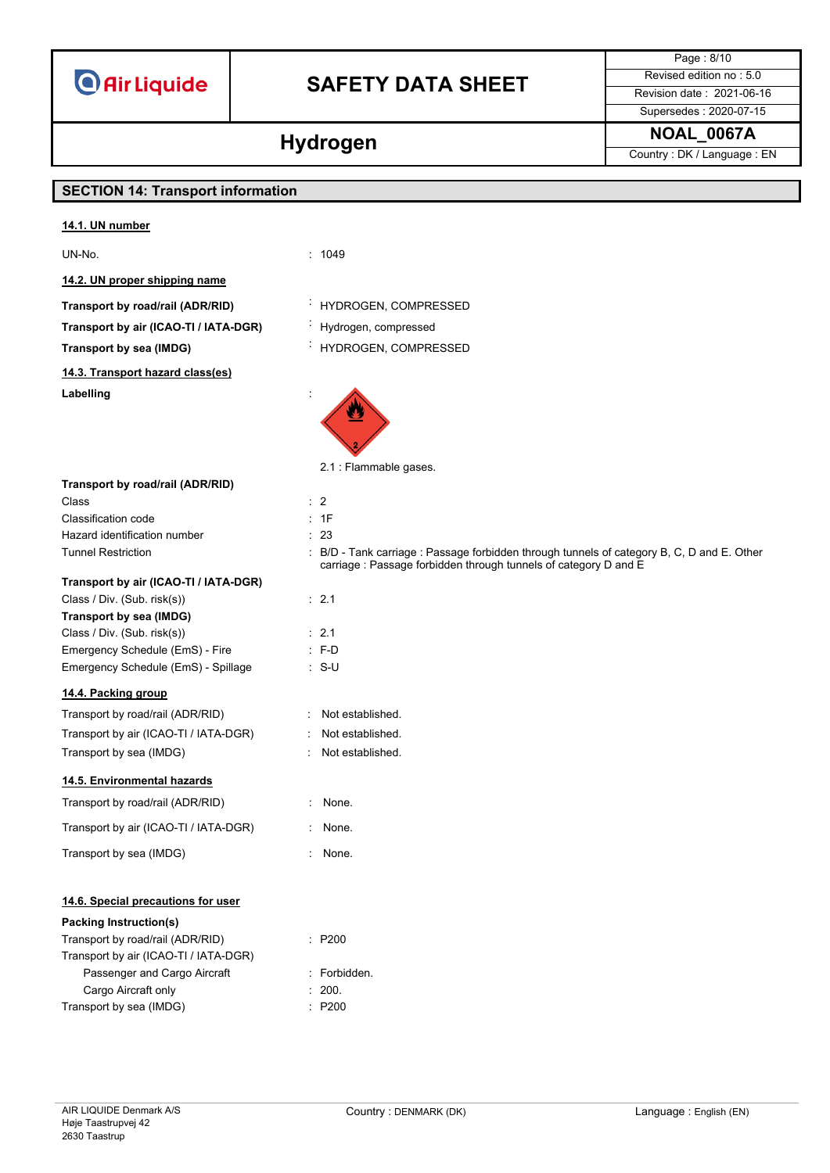# **SAFETY DATA SHEET** Revised edition no : 5.0

Supersedes : 2020-07-15

Page : 8/10

**Hydrogen NOAL\_0067A Hydrogen Country**: DK / Language : EN

# **SECTION 14: Transport information 14.1. UN number** UN-No. : 1049 **14.2. UN proper shipping name Transport by road/rail (ADR/RID)** : HYDROGEN, COMPRESSED **Transport by air (ICAO-TI / IATA-DGR)** : Hydrogen, compressed **Transport by sea (IMDG)** : HYDROGEN, COMPRESSED **14.3. Transport hazard class(es) Labelling** : **Transport by road/rail (ADR/RID)** Class : 2 Classification code : 1F Hazard identification number : 23 **Transport by air (ICAO-TI / IATA-DGR)**

Class / Div. (Sub. risk(s)) : 2.1 **Transport by sea (IMDG)** Class / Div. (Sub. risk(s)) : 2.1 Emergency Schedule (EmS) - Fire : F-D Emergency Schedule (EmS) - Spillage : S-U

## **14.4. Packing group**

Transport by road/rail (ADR/RID) : Not established. Transport by air (ICAO-TI / IATA-DGR) : Not established. Transport by sea (IMDG) : Not established.

## **14.5. Environmental hazards**

Transport by road/rail (ADR/RID) : None.

Transport by air (ICAO-TI / IATA-DGR) : None.

Transport by sea (IMDG) : None.

## **14.6. Special precautions for user**

## **Packing Instruction(s)**

Transport by road/rail (ADR/RID) : P200 Transport by air (ICAO-TI / IATA-DGR) Passenger and Cargo Aircraft : Forbidden. Cargo Aircraft only **Example 200.** 200. Transport by sea (IMDG)  $\qquad \qquad$ : P200

- 
- 



2.1 : Flammable gases.

Tunnel Restriction **in the COLO COLO COLOGY** CHO COLOGY : B/D - Tank carriage : Passage forbidden through tunnels of category B, C, D and E. Other carriage : Passage forbidden through tunnels of category D and E

- 
- 
- 
- 
- 
- 
- 
- 
- 
- 

- 
- 
-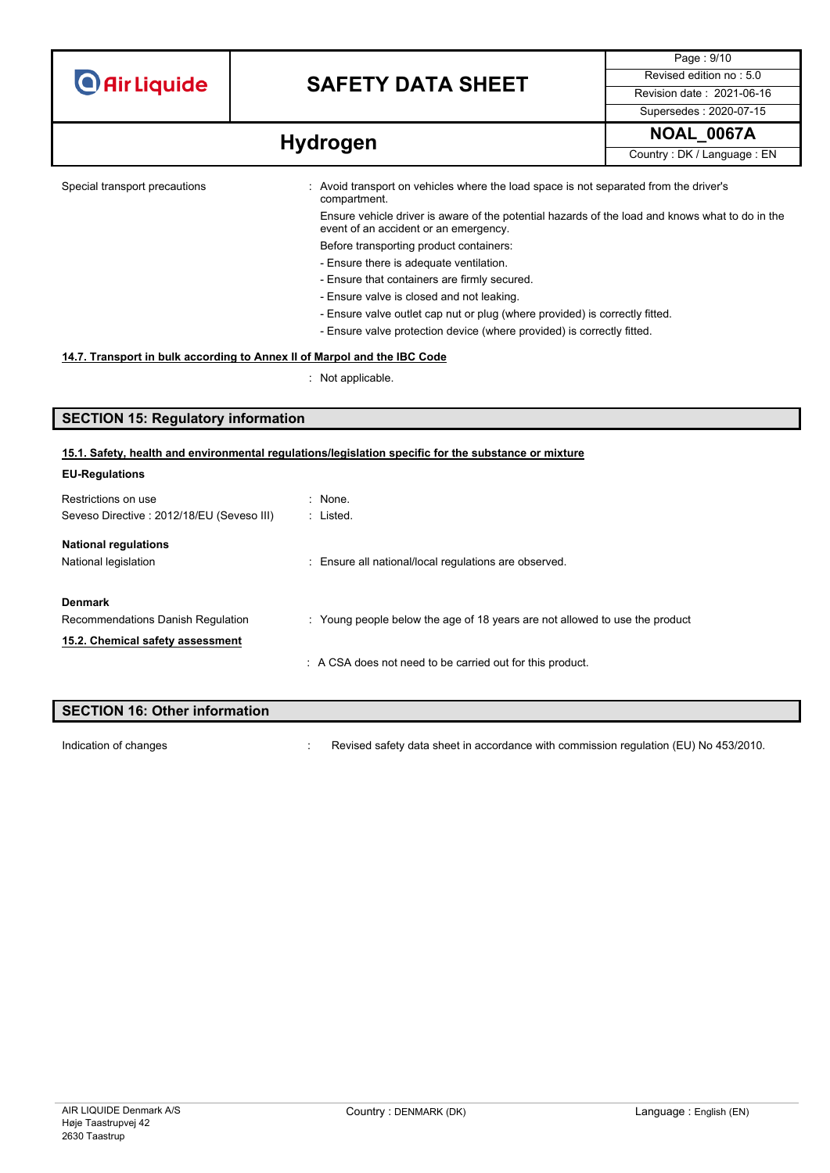| <b>O</b> Air Liquide |  |  |
|----------------------|--|--|
|                      |  |  |

# **SAFETY DATA SHEET** Revised edition no : 5.0

Page : 9/10 Supersedes : 2020-07-15

**Hydrogen NOAL\_0067A Hydrogen Country**: DK/Language : EN

Special transport precautions : Avoid transport on vehicles where the load space is not separated from the driver's compartment. Ensure vehicle driver is aware of the potential hazards of the load and knows what to do in the

> event of an accident or an emergency. Before transporting product containers:

- Ensure there is adequate ventilation.
- Ensure that containers are firmly secured.
- Ensure valve is closed and not leaking.
- Ensure valve outlet cap nut or plug (where provided) is correctly fitted.
- Ensure valve protection device (where provided) is correctly fitted.

### **14.7. Transport in bulk according to Annex II of Marpol and the IBC Code**

: Not applicable.

## **SECTION 15: Regulatory information**

#### **15.1. Safety, health and environmental regulations/legislation specific for the substance or mixture**

| : None.                                                                     |
|-----------------------------------------------------------------------------|
| : Listed.                                                                   |
|                                                                             |
| : Ensure all national/local regulations are observed.                       |
|                                                                             |
| : Young people below the age of 18 years are not allowed to use the product |
|                                                                             |
| : A CSA does not need to be carried out for this product.                   |
|                                                                             |

# **SECTION 16: Other information**

Indication of changes **interview of the Changes** : Revised safety data sheet in accordance with commission regulation (EU) No 453/2010.